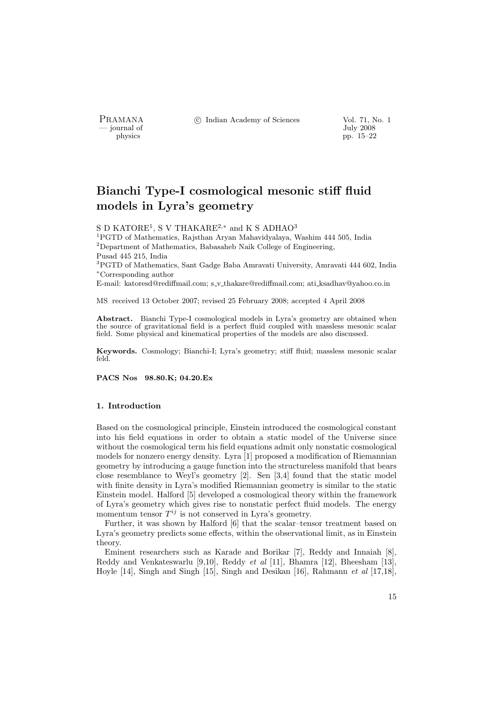- journal of<br>physics

PRAMANA °c Indian Academy of Sciences Vol. 71, No. 1

pp. 15–22

# Bianchi Type-I cosmological mesonic stiff fluid models in Lyra's geometry

S D KATORE<sup>1</sup>, S V THAKARE<sup>2,\*</sup> and K S ADHAO<sup>3</sup>

<sup>1</sup>PGTD of Mathematics, Rajsthan Aryan Mahavidyalaya, Washim 444 505, India  $^{2}$ Department of Mathematics, Babasaheb Naik College of Engineering, Pusad 445 215, India

<sup>3</sup>PGTD of Mathematics, Sant Gadge Baba Amravati University, Amravati 444 602, India <sup>∗</sup>Corresponding author

E-mail: katoresd@rediffmail.com; s v thakare@rediffmail.com; ati ksadhav@yahoo.co.in

MS received 13 October 2007; revised 25 February 2008; accepted 4 April 2008

Abstract. Bianchi Type-I cosmological models in Lyra's geometry are obtained when the source of gravitational field is a perfect fluid coupled with massless mesonic scalar field. Some physical and kinematical properties of the models are also discussed.

Keywords. Cosmology; Bianchi-I; Lyra's geometry; stiff fluid; massless mesonic scalar feld.

PACS Nos 98.80.K; 04.20.Ex

#### 1. Introduction

Based on the cosmological principle, Einstein introduced the cosmological constant into his field equations in order to obtain a static model of the Universe since without the cosmological term his field equations admit only nonstatic cosmological models for nonzero energy density. Lyra [1] proposed a modification of Riemannian geometry by introducing a gauge function into the structureless manifold that bears close resemblance to Weyl's geometry [2]. Sen [3,4] found that the static model with finite density in Lyra's modified Riemannian geometry is similar to the static Einstein model. Halford [5] developed a cosmological theory within the framework of Lyra's geometry which gives rise to nonstatic perfect fluid models. The energy momentum tensor  $T^{ij}$  is not conserved in Lyra's geometry.

Further, it was shown by Halford [6] that the scalar–tensor treatment based on Lyra's geometry predicts some effects, within the observational limit, as in Einstein theory.

Eminent researchers such as Karade and Borikar [7], Reddy and Innaiah [8], Reddy and Venkateswarlu [9,10], Reddy et al [11], Bhamra [12], Bheesham [13], Hoyle  $[14]$ , Singh and Singh  $[15]$ , Singh and Desikan  $[16]$ , Rahmann et al  $[17,18]$ ,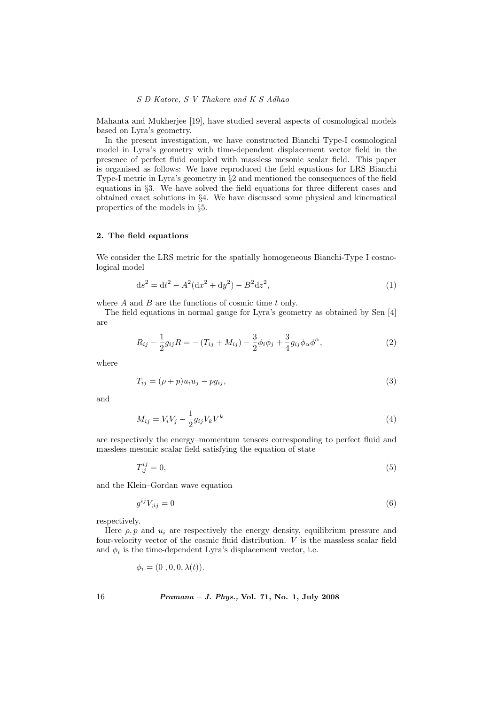### S D Katore, S V Thakare and K S Adhao

Mahanta and Mukherjee [19], have studied several aspects of cosmological models based on Lyra's geometry.

In the present investigation, we have constructed Bianchi Type-I cosmological model in Lyra's geometry with time-dependent displacement vector field in the presence of perfect fluid coupled with massless mesonic scalar field. This paper is organised as follows: We have reproduced the field equations for LRS Bianchi Type-I metric in Lyra's geometry in §2 and mentioned the consequences of the field equations in §3. We have solved the field equations for three different cases and obtained exact solutions in §4. We have discussed some physical and kinematical properties of the models in §5.

### 2. The field equations

We consider the LRS metric for the spatially homogeneous Bianchi-Type I cosmological model

$$
ds^2 = dt^2 - A^2(dx^2 + dy^2) - B^2 dz^2,
$$
\n(1)

where  $A$  and  $B$  are the functions of cosmic time  $t$  only.

The field equations in normal gauge for Lyra's geometry as obtained by Sen [4] are

$$
R_{ij} - \frac{1}{2}g_{ij}R = -(T_{ij} + M_{ij}) - \frac{3}{2}\phi_i\phi_j + \frac{3}{4}g_{ij}\phi_\alpha\phi^\alpha,
$$
 (2)

where

$$
T_{ij} = (\rho + p)u_i u_j - pg_{ij},\tag{3}
$$

and

$$
M_{ij} = V_i V_j - \frac{1}{2} g_{ij} V_k V^k \tag{4}
$$

are respectively the energy–momentum tensors corresponding to perfect fluid and massless mesonic scalar field satisfying the equation of state

$$
T_{;j}^{ij} = 0,\tag{5}
$$

and the Klein–Gordan wave equation

$$
g^{ij}V_{;ij} = 0\tag{6}
$$

respectively.

Here  $\rho$ , p and  $u_i$  are respectively the energy density, equilibrium pressure and four-velocity vector of the cosmic fluid distribution. V is the massless scalar field and  $\phi_i$  is the time-dependent Lyra's displacement vector, i.e.

$$
\phi_i = (0, 0, 0, \lambda(t)).
$$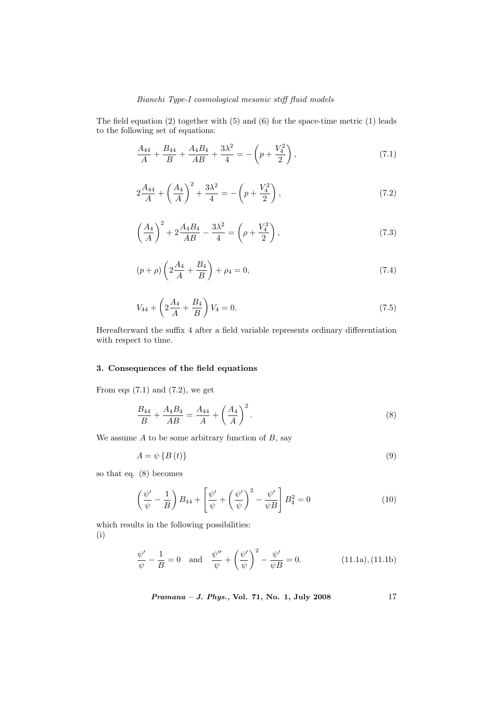## Bianchi Type-I cosmological mesonic stiff fluid models

The field equation (2) together with (5) and (6) for the space-time metric (1) leads to the following set of equations:

$$
\frac{A_{44}}{A} + \frac{B_{44}}{B} + \frac{A_4 B_4}{AB} + \frac{3\lambda^2}{4} = -\left(p + \frac{V_4^2}{2}\right),\tag{7.1}
$$

$$
2\frac{A_{44}}{A} + \left(\frac{A_4}{A}\right)^2 + \frac{3\lambda^2}{4} = -\left(p + \frac{V_4^2}{2}\right),\tag{7.2}
$$

$$
\left(\frac{A_4}{A}\right)^2 + 2\frac{A_4B_4}{AB} - \frac{3\lambda^2}{4} = \left(\rho + \frac{V_4^2}{2}\right),\tag{7.3}
$$

$$
(p+\rho)\left(2\frac{A_4}{A} + \frac{B_4}{B}\right) + \rho_4 = 0,\t\t(7.4)
$$

$$
V_{44} + \left(2\frac{A_4}{A} + \frac{B_4}{B}\right)V_4 = 0.\t\t(7.5)
$$

Hereafterward the suffix 4 after a field variable represents ordinary differentiation with respect to time.

### 3. Consequences of the field equations

From eqs  $(7.1)$  and  $(7.2)$ , we get

$$
\frac{B_{44}}{B} + \frac{A_4 B_4}{AB} = \frac{A_{44}}{A} + \left(\frac{A_4}{A}\right)^2.
$$
 (8)

We assume  $A$  to be some arbitrary function of  $B$ , say

$$
A = \psi \{B(t)\}\tag{9}
$$

so that eq. (8) becomes

$$
\left(\frac{\psi'}{\psi} - \frac{1}{B}\right)B_{44} + \left[\frac{\psi'}{\psi} + \left(\frac{\psi'}{\psi}\right)^2 - \frac{\psi'}{\psi B}\right]B_4^2 = 0\tag{10}
$$

which results in the following possibilities: (i)

$$
\frac{\psi'}{\psi} - \frac{1}{B} = 0 \text{ and } \frac{\psi''}{\psi} + \left(\frac{\psi'}{\psi}\right)^2 - \frac{\psi'}{\psi B} = 0. \quad (11.1a), (11.1b)
$$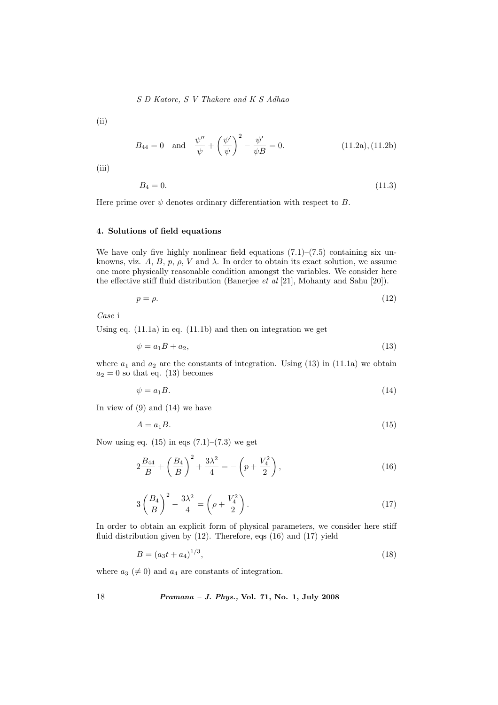S D Katore, S V Thakare and K S Adhao

(ii)

$$
B_{44} = 0
$$
 and  $\frac{\psi''}{\psi} + \left(\frac{\psi'}{\psi}\right)^2 - \frac{\psi'}{\psi B} = 0.$  (11.2a), (11.2b)

(iii)

$$
B_4 = 0.\t(11.3)
$$

Here prime over  $\psi$  denotes ordinary differentiation with respect to B.

### 4. Solutions of field equations

We have only five highly nonlinear field equations  $(7.1)$ – $(7.5)$  containing six unknowns, viz. A, B, p,  $\rho$ , V and  $\lambda$ . In order to obtain its exact solution, we assume one more physically reasonable condition amongst the variables. We consider here the effective stiff fluid distribution (Banerjee et al [21], Mohanty and Sahu [20]).

$$
p = \rho. \tag{12}
$$

Case i

Using eq. (11.1a) in eq. (11.1b) and then on integration we get

$$
\psi = a_1 B + a_2,\tag{13}
$$

where  $a_1$  and  $a_2$  are the constants of integration. Using (13) in (11.1a) we obtain  $a_2 = 0$  so that eq. (13) becomes

$$
\psi = a_1 B. \tag{14}
$$

In view of  $(9)$  and  $(14)$  we have

$$
A = a_1 B. \tag{15}
$$

Now using eq.  $(15)$  in eqs  $(7.1)$ – $(7.3)$  we get

$$
2\frac{B_{44}}{B} + \left(\frac{B_4}{B}\right)^2 + \frac{3\lambda^2}{4} = -\left(p + \frac{V_4^2}{2}\right),\tag{16}
$$

$$
3\left(\frac{B_4}{B}\right)^2 - \frac{3\lambda^2}{4} = \left(\rho + \frac{V_4^2}{2}\right). \tag{17}
$$

In order to obtain an explicit form of physical parameters, we consider here stiff fluid distribution given by (12). Therefore, eqs (16) and (17) yield

$$
B = (a_3t + a_4)^{1/3},\tag{18}
$$

where  $a_3 \neq 0$  and  $a_4$  are constants of integration.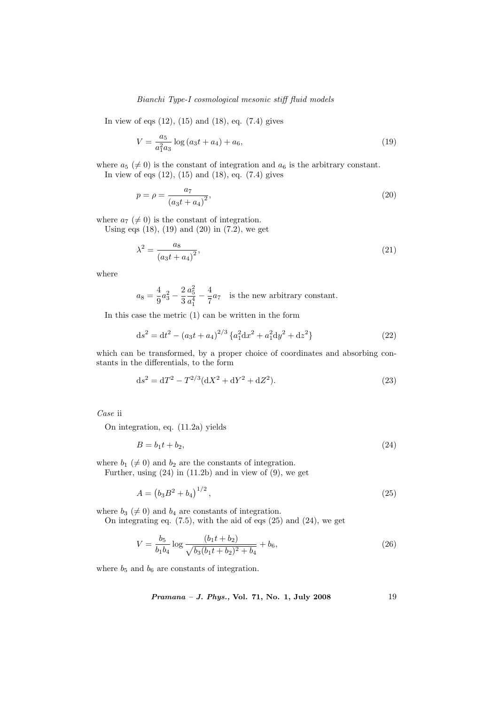### Bianchi Type-I cosmological mesonic stiff fluid models

In view of eqs  $(12)$ ,  $(15)$  and  $(18)$ , eq.  $(7.4)$  gives

$$
V = \frac{a_5}{a_1^2 a_3} \log \left( a_3 t + a_4 \right) + a_6,\tag{19}
$$

where  $a_5 \neq 0$  is the constant of integration and  $a_6$  is the arbitrary constant. In view of eqs  $(12)$ ,  $(15)$  and  $(18)$ , eq.  $(7.4)$  gives

$$
p = \rho = \frac{a_7}{(a_3 t + a_4)^2},\tag{20}
$$

where  $a_7 \neq 0$  is the constant of integration.

Using eqs  $(18)$ ,  $(19)$  and  $(20)$  in  $(7.2)$ , we get

$$
\lambda^2 = \frac{a_8}{\left(a_3 t + a_4\right)^2},\tag{21}
$$

where

$$
a_8 = \frac{4}{9}a_3^2 - \frac{2}{3}\frac{a_5^2}{a_1^4} - \frac{4}{7}a_7
$$
 is the new arbitrary constant.

In this case the metric (1) can be written in the form

$$
ds^{2} = dt^{2} - (a_{3}t + a_{4})^{2/3} \{a_{1}^{2}dx^{2} + a_{1}^{2}dy^{2} + dz^{2}\}\
$$
 (22)

which can be transformed, by a proper choice of coordinates and absorbing constants in the differentials, to the form

$$
ds^{2} = dT^{2} - T^{2/3}(dX^{2} + dY^{2} + dZ^{2}).
$$
\n(23)

Case ii

On integration, eq. (11.2a) yields

$$
B = b_1 t + b_2,\tag{24}
$$

where  $b_1 \neq 0$  and  $b_2$  are the constants of integration.

Further, using  $(24)$  in  $(11.2b)$  and in view of  $(9)$ , we get

$$
A = \left(b_3 B^2 + b_4\right)^{1/2},\tag{25}
$$

where  $b_3 \neq 0$  and  $b_4$  are constants of integration.

On integrating eq. (7.5), with the aid of eqs (25) and (24), we get

$$
V = \frac{b_5}{b_1 b_4} \log \frac{(b_1 t + b_2)}{\sqrt{b_3 (b_1 t + b_2)^2 + b_4}} + b_6,
$$
\n(26)

where  $b_5$  and  $b_6$  are constants of integration.

Pramana – J. Phys., Vol. 71, No. 1, July 2008 19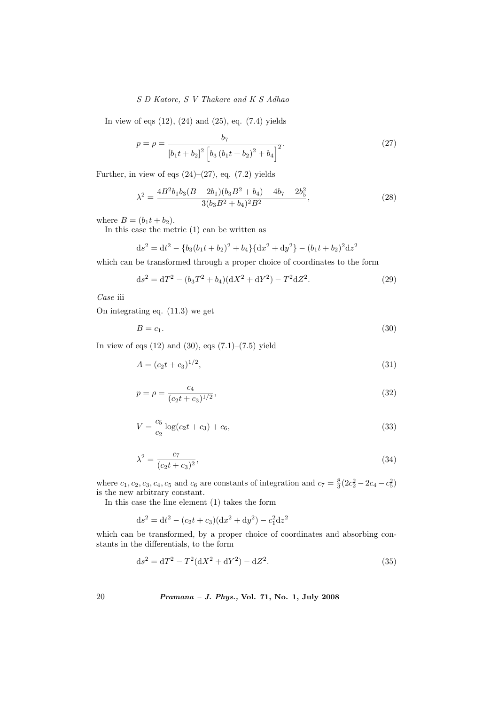# S D Katore, S V Thakare and K S Adhao

In view of eqs  $(12)$ ,  $(24)$  and  $(25)$ , eq.  $(7.4)$  yields

$$
p = \rho = \frac{b_7}{\left[b_1 t + b_2\right]^2 \left[b_3 \left(b_1 t + b_2\right)^2 + b_4\right]^2}.
$$
\n(27)

Further, in view of eqs  $(24)$ – $(27)$ , eq.  $(7.2)$  yields

$$
\lambda^2 = \frac{4B^2b_1b_3(B - 2b_1)(b_3B^2 + b_4) - 4b_7 - 2b_5^2}{3(b_3B^2 + b_4)^2B^2},\tag{28}
$$

where  $B = (b_1 t + b_2)$ .

In this case the metric (1) can be written as

$$
ds^{2} = dt^{2} - \{b_{3}(b_{1}t + b_{2})^{2} + b_{4}\}\{dx^{2} + dy^{2}\} - (b_{1}t + b_{2})^{2}dz^{2}
$$

which can be transformed through a proper choice of coordinates to the form

$$
ds^{2} = dT^{2} - (b_{3}T^{2} + b_{4})(dX^{2} + dY^{2}) - T^{2}dZ^{2}.
$$
 (29)

Case iii

On integrating eq. (11.3) we get

$$
B = c_1. \tag{30}
$$

In view of eqs  $(12)$  and  $(30)$ , eqs  $(7.1)$ – $(7.5)$  yield

$$
A = (c_2 t + c_3)^{1/2},\tag{31}
$$

$$
p = \rho = \frac{c_4}{(c_2 t + c_3)^{1/2}},\tag{32}
$$

$$
V = \frac{c_5}{c_2} \log(c_2 t + c_3) + c_6,\tag{33}
$$

$$
\lambda^2 = \frac{c_7}{(c_2 t + c_3)^2},\tag{34}
$$

where  $c_1, c_2, c_3, c_4, c_5$  and  $c_6$  are constants of integration and  $c_7 = \frac{8}{3}(2c_2^2 - 2c_4 - c_5^2)$ is the new arbitrary constant.

In this case the line element (1) takes the form

$$
ds^{2} = dt^{2} - (c_{2}t + c_{3})(dx^{2} + dy^{2}) - c_{1}^{2}dz^{2}
$$

which can be transformed, by a proper choice of coordinates and absorbing constants in the differentials, to the form

$$
ds^{2} = dT^{2} - T^{2}(dX^{2} + dY^{2}) - dZ^{2}.
$$
\n(35)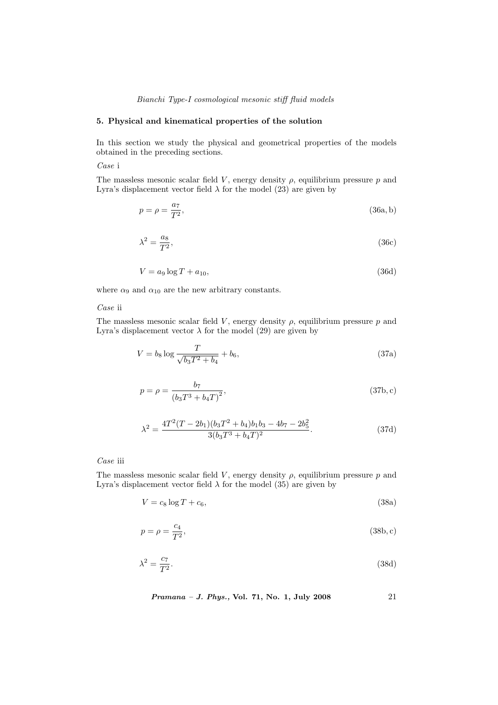### Bianchi Type-I cosmological mesonic stiff fluid models

### 5. Physical and kinematical properties of the solution

In this section we study the physical and geometrical properties of the models obtained in the preceding sections.

Case i

The massless mesonic scalar field V, energy density  $\rho$ , equilibrium pressure p and Lyra's displacement vector field  $\lambda$  for the model (23) are given by

$$
p = \rho = \frac{a_7}{T^2},\tag{36a,b}
$$

$$
\lambda^2 = \frac{a_8}{T^2},\tag{36c}
$$

$$
V = a_9 \log T + a_{10},\tag{36d}
$$

where  $\alpha_9$  and  $\alpha_{10}$  are the new arbitrary constants.

### Case ii

The massless mesonic scalar field V, energy density  $\rho$ , equilibrium pressure p and Lyra's displacement vector  $\lambda$  for the model (29) are given by

$$
V = b_8 \log \frac{T}{\sqrt{b_3 T^2 + b_4}} + b_6,\tag{37a}
$$

$$
p = \rho = \frac{b_7}{(b_3 T^3 + b_4 T)^2},
$$
\n(37b, c)

$$
\lambda^{2} = \frac{4T^{2}(T - 2b_{1})(b_{3}T^{2} + b_{4})b_{1}b_{3} - 4b_{7} - 2b_{5}^{2}}{3(b_{3}T^{3} + b_{4}T)^{2}}.
$$
\n(37d)

Case iii

The massless mesonic scalar field V, energy density  $\rho$ , equilibrium pressure  $p$  and Lyra's displacement vector field  $\lambda$  for the model (35) are given by

$$
V = c_8 \log T + c_6,\tag{38a}
$$

$$
p = \rho = \frac{c_4}{T^2},\tag{38b,c}
$$

$$
\lambda^2 = \frac{c_7}{T^2}.\tag{38d}
$$